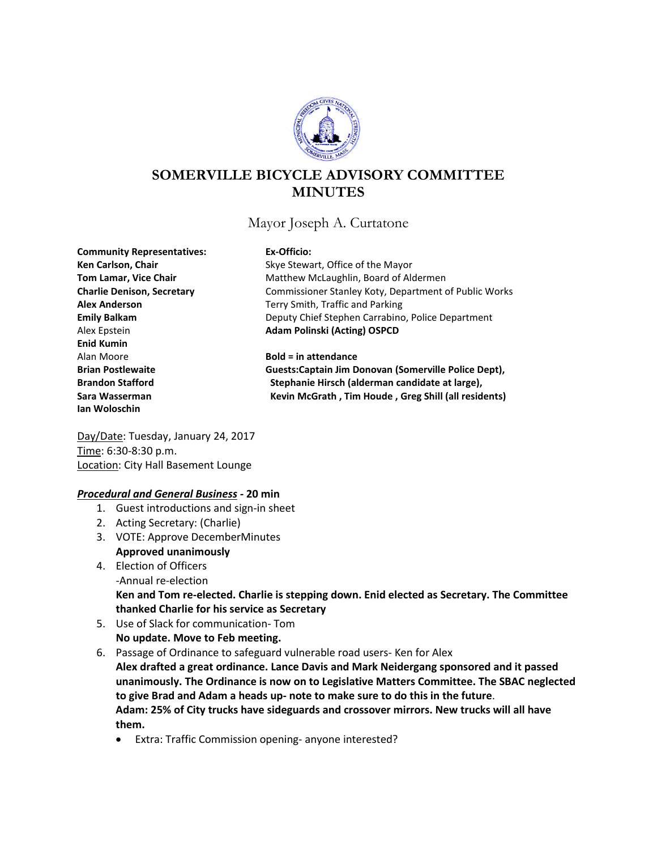

# **SOMERVILLE BICYCLE ADVISORY COMMITTEE MINUTES**

Mayor Joseph A. Curtatone

**Community Representatives: Ex-Officio:** Alex Epstein **Adam Polinski (Acting) OSPCD Enid Kumin** Alan Moore **Bold = in attendance Ian Woloschin**

Ken Carlson, Chair **Ken Carlson, Chair** Skye Stewart, Office of the Mayor **Tom Lamar, Vice Chair** Matthew McLaughlin, Board of Aldermen **Charlie Denison, Secretary** Commissioner Stanley Koty, Department of Public Works **Alex Anderson** Terry Smith, Traffic and Parking **Emily Balkam** Deputy Chief Stephen Carrabino, Police Department

**Brian Postlewaite Guests:Captain Jim Donovan (Somerville Police Dept), Brandon Stafford Stephanie Hirsch (alderman candidate at large), Sara Wasserman Kevin McGrath , Tim Houde , Greg Shill (all residents)**

Day/Date: Tuesday, January 24, 2017 Time: 6:30-8:30 p.m. Location: City Hall Basement Lounge

# *Procedural and General Business -* **20 min**

- 1. Guest introductions and sign-in sheet
- 2. Acting Secretary: (Charlie)
- 3. VOTE: Approve DecemberMinutes **Approved unanimously**
- 4. Election of Officers -Annual re-election **Ken and Tom re-elected. Charlie is stepping down. Enid elected as Secretary. The Committee thanked Charlie for his service as Secretary**
- 5. Use of Slack for communication- Tom **No update. Move to Feb meeting.**
- 6. Passage of Ordinance to safeguard vulnerable road users- Ken for Alex

**Alex drafted a great ordinance. Lance Davis and Mark Neidergang sponsored and it passed unanimously. The Ordinance is now on to Legislative Matters Committee. The SBAC neglected to give Brad and Adam a heads up- note to make sure to do this in the future**. **Adam: 25% of City trucks have sideguards and crossover mirrors. New trucks will all have them.**

• Extra: Traffic Commission opening- anyone interested?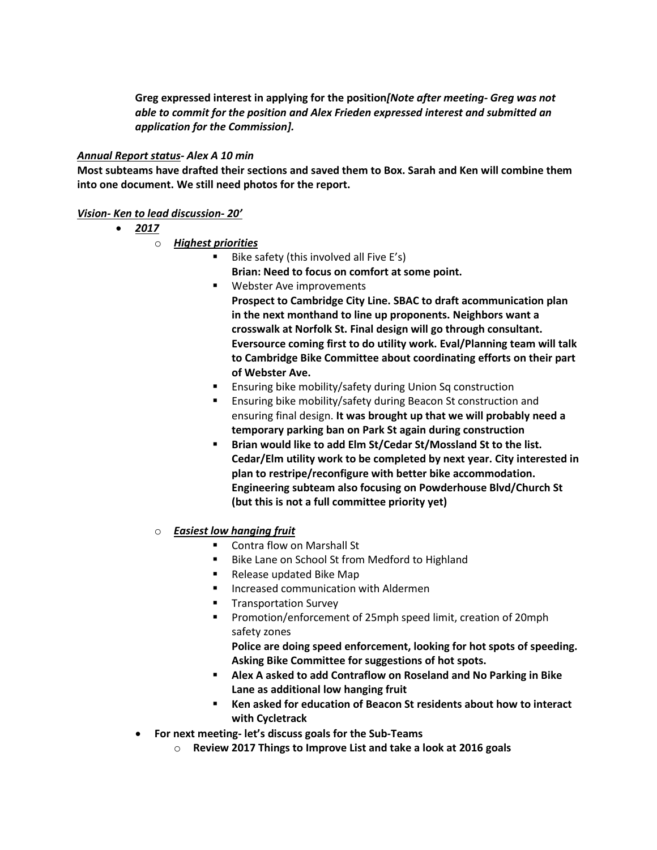**Greg expressed interest in applying for the position***[Note after meeting- Greg was not able to commit for the position and Alex Frieden expressed interest and submitted an application for the Commission].*

### *Annual Report status- Alex A 10 min*

**Most subteams have drafted their sections and saved them to Box. Sarah and Ken will combine them into one document. We still need photos for the report.**

#### *Vision- Ken to lead discussion- 20'*

- *2017*
	- o *Highest priorities*
		- $\blacksquare$  Bike safety (this involved all Five E's)
			- **Brian: Need to focus on comfort at some point.**
		- **Webster Ave improvements Prospect to Cambridge City Line. SBAC to draft acommunication plan in the next monthand to line up proponents. Neighbors want a crosswalk at Norfolk St. Final design will go through consultant. Eversource coming first to do utility work. Eval/Planning team will talk to Cambridge Bike Committee about coordinating efforts on their part of Webster Ave.**
		- **Ensuring bike mobility/safety during Union Sq construction**
		- **Ensuring bike mobility/safety during Beacon St construction and** ensuring final design. **It was brought up that we will probably need a temporary parking ban on Park St again during construction**
		- **Brian would like to add Elm St/Cedar St/Mossland St to the list. Cedar/Elm utility work to be completed by next year. City interested in plan to restripe/reconfigure with better bike accommodation. Engineering subteam also focusing on Powderhouse Blvd/Church St (but this is not a full committee priority yet)**
	- o *Easiest low hanging fruit*
		- Contra flow on Marshall St
		- **Bike Lane on School St from Medford to Highland**
		- **Release updated Bike Map**
		- **Increased communication with Aldermen**
		- **Transportation Survey**
		- Promotion/enforcement of 25mph speed limit, creation of 20mph safety zones

**Police are doing speed enforcement, looking for hot spots of speeding. Asking Bike Committee for suggestions of hot spots.**

- **Alex A asked to add Contraflow on Roseland and No Parking in Bike Lane as additional low hanging fruit**
- **Ken asked for education of Beacon St residents about how to interact with Cycletrack**
- **For next meeting- let's discuss goals for the Sub-Teams**
	- o **Review 2017 Things to Improve List and take a look at 2016 goals**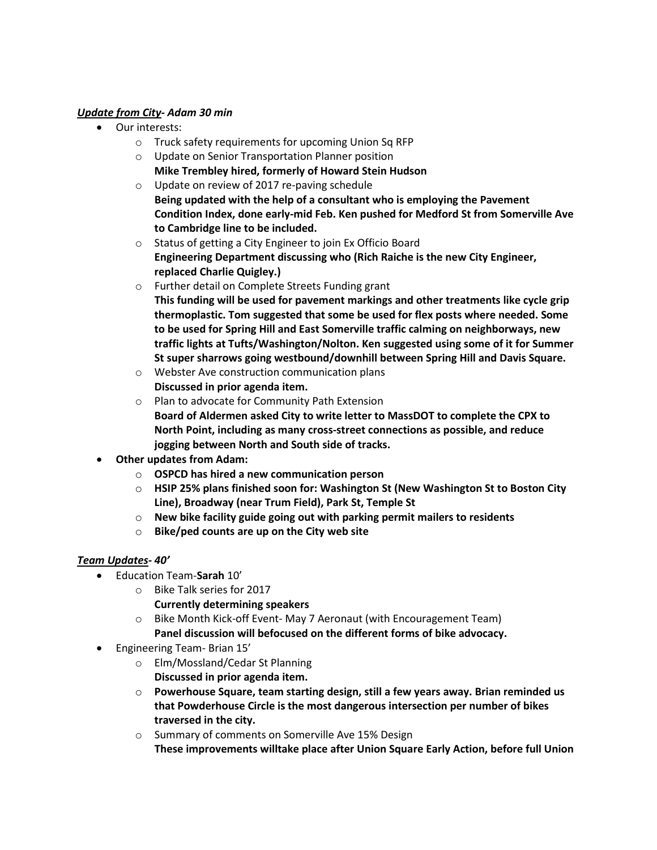# *Update from City- Adam 30 min*

- Our interests:
	- o Truck safety requirements for upcoming Union Sq RFP
	- o Update on Senior Transportation Planner position **Mike Trembley hired, formerly of Howard Stein Hudson**
	- o Update on review of 2017 re-paving schedule **Being updated with the help of a consultant who is employing the Pavement Condition Index, done early-mid Feb. Ken pushed for Medford St from Somerville Ave to Cambridge line to be included.**
	- o Status of getting a City Engineer to join Ex Officio Board **Engineering Department discussing who (Rich Raiche is the new City Engineer, replaced Charlie Quigley.)**
	- o Further detail on Complete Streets Funding grant **This funding will be used for pavement markings and other treatments like cycle grip thermoplastic. Tom suggested that some be used for flex posts where needed. Some to be used for Spring Hill and East Somerville traffic calming on neighborways, new traffic lights at Tufts/Washington/Nolton. Ken suggested using some of it for Summer St super sharrows going westbound/downhill between Spring Hill and Davis Square.**
	- o Webster Ave construction communication plans **Discussed in prior agenda item.**
	- o Plan to advocate for Community Path Extension **Board of Aldermen asked City to write letter to MassDOT to complete the CPX to North Point, including as many cross-street connections as possible, and reduce jogging between North and South side of tracks.**
- **Other updates from Adam:**
	- o **OSPCD has hired a new communication person**
	- o **HSIP 25% plans finished soon for: Washington St (New Washington St to Boston City Line), Broadway (near Trum Field), Park St, Temple St**
	- o **New bike facility guide going out with parking permit mailers to residents**
	- o **Bike/ped counts are up on the City web site**

# *Team Updates- 40'*

- Education Team-**Sarah** 10'
	- o Bike Talk series for 2017
		- **Currently determining speakers**
	- o Bike Month Kick-off Event- May 7 Aeronaut (with Encouragement Team) **Panel discussion will befocused on the different forms of bike advocacy.**
- Engineering Team- Brian 15'
	- o Elm/Mossland/Cedar St Planning **Discussed in prior agenda item.**
	- o **Powerhouse Square, team starting design, still a few years away. Brian reminded us that Powderhouse Circle is the most dangerous intersection per number of bikes traversed in the city.**
	- o Summary of comments on Somerville Ave 15% Design **These improvements willtake place after Union Square Early Action, before full Union**